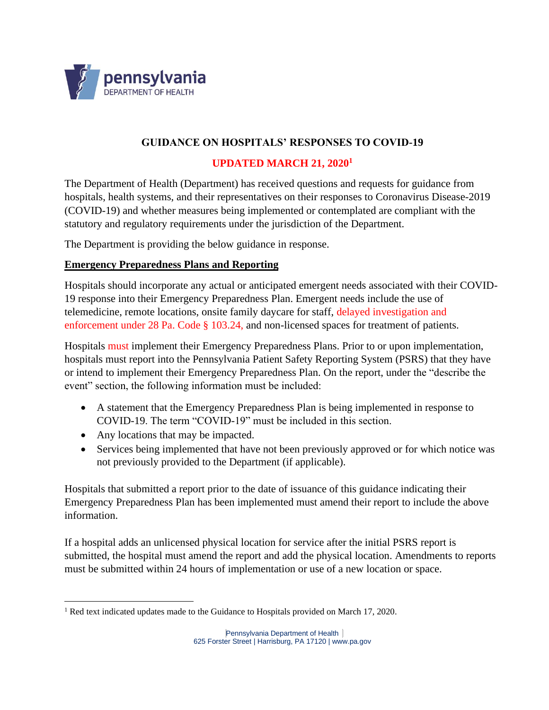

## **GUIDANCE ON HOSPITALS' RESPONSES TO COVID-19**

## **UPDATED MARCH 21, 2020<sup>1</sup>**

The Department of Health (Department) has received questions and requests for guidance from hospitals, health systems, and their representatives on their responses to Coronavirus Disease-2019 (COVID-19) and whether measures being implemented or contemplated are compliant with the statutory and regulatory requirements under the jurisdiction of the Department.

The Department is providing the below guidance in response.

#### **Emergency Preparedness Plans and Reporting**

Hospitals should incorporate any actual or anticipated emergent needs associated with their COVID-19 response into their Emergency Preparedness Plan. Emergent needs include the use of telemedicine, remote locations, onsite family daycare for staff, delayed investigation and enforcement under 28 Pa. Code § 103.24, and non-licensed spaces for treatment of patients.

Hospitals must implement their Emergency Preparedness Plans. Prior to or upon implementation, hospitals must report into the Pennsylvania Patient Safety Reporting System (PSRS) that they have or intend to implement their Emergency Preparedness Plan. On the report, under the "describe the event" section, the following information must be included:

- A statement that the Emergency Preparedness Plan is being implemented in response to COVID-19. The term "COVID-19" must be included in this section.
- Any locations that may be impacted.
- Services being implemented that have not been previously approved or for which notice was not previously provided to the Department (if applicable).

Hospitals that submitted a report prior to the date of issuance of this guidance indicating their Emergency Preparedness Plan has been implemented must amend their report to include the above information.

If a hospital adds an unlicensed physical location for service after the initial PSRS report is submitted, the hospital must amend the report and add the physical location. Amendments to reports must be submitted within 24 hours of implementation or use of a new location or space.

<sup>&</sup>lt;sup>1</sup> Red text indicated updates made to the Guidance to Hospitals provided on March 17, 2020.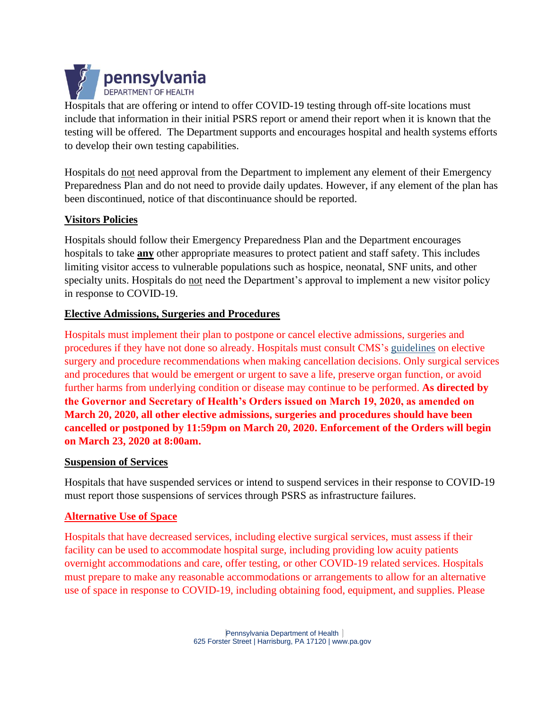

Hospitals that are offering or intend to offer COVID-19 testing through off-site locations must include that information in their initial PSRS report or amend their report when it is known that the testing will be offered. The Department supports and encourages hospital and health systems efforts to develop their own testing capabilities.

Hospitals do not need approval from the Department to implement any element of their Emergency Preparedness Plan and do not need to provide daily updates. However, if any element of the plan has been discontinued, notice of that discontinuance should be reported.

## **Visitors Policies**

Hospitals should follow their Emergency Preparedness Plan and the Department encourages hospitals to take **any** other appropriate measures to protect patient and staff safety. This includes limiting visitor access to vulnerable populations such as hospice, neonatal, SNF units, and other specialty units. Hospitals do not need the Department's approval to implement a new visitor policy in response to COVID-19.

#### **Elective Admissions, Surgeries and Procedures**

Hospitals must implement their plan to postpone or cancel elective admissions, surgeries and procedures if they have not done so already. Hospitals must consult CMS's [guidelines](https://www.cms.gov/files/document/31820-cms-adult-elective-surgery-and-procedures-recommendations.pdf) on elective surgery and procedure recommendations when making cancellation decisions. Only surgical services and procedures that would be emergent or urgent to save a life, preserve organ function, or avoid further harms from underlying condition or disease may continue to be performed. **As directed by the Governor and Secretary of Health's Orders issued on March 19, 2020, as amended on March 20, 2020, all other elective admissions, surgeries and procedures should have been cancelled or postponed by 11:59pm on March 20, 2020. Enforcement of the Orders will begin on March 23, 2020 at 8:00am.**

#### **Suspension of Services**

Hospitals that have suspended services or intend to suspend services in their response to COVID-19 must report those suspensions of services through PSRS as infrastructure failures.

#### **Alternative Use of Space**

Hospitals that have decreased services, including elective surgical services, must assess if their facility can be used to accommodate hospital surge, including providing low acuity patients overnight accommodations and care, offer testing, or other COVID-19 related services. Hospitals must prepare to make any reasonable accommodations or arrangements to allow for an alternative use of space in response to COVID-19, including obtaining food, equipment, and supplies. Please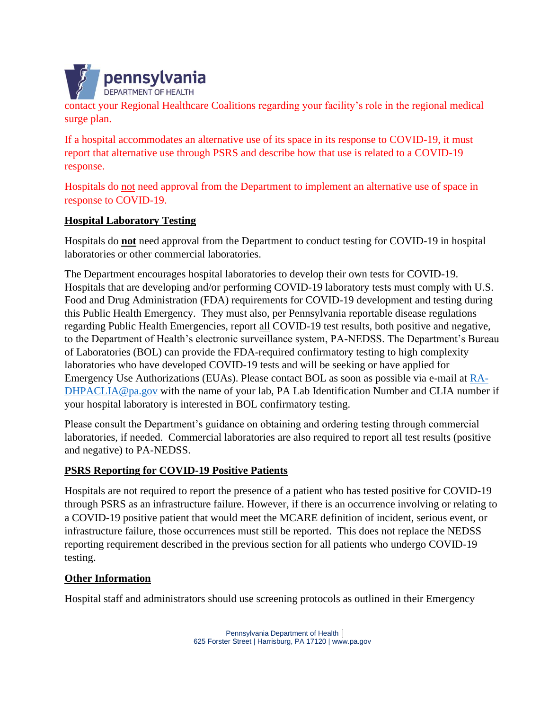

contact your Regional Healthcare Coalitions regarding your facility's role in the regional medical surge plan.

If a hospital accommodates an alternative use of its space in its response to COVID-19, it must report that alternative use through PSRS and describe how that use is related to a COVID-19 response.

Hospitals do not need approval from the Department to implement an alternative use of space in response to COVID-19.

# **Hospital Laboratory Testing**

Hospitals do **not** need approval from the Department to conduct testing for COVID-19 in hospital laboratories or other commercial laboratories.

The Department encourages hospital laboratories to develop their own tests for COVID-19. Hospitals that are developing and/or performing COVID-19 laboratory tests must comply with U.S. Food and Drug Administration (FDA) requirements for COVID-19 development and testing during this Public Health Emergency. They must also, per Pennsylvania reportable disease regulations regarding Public Health Emergencies, report all COVID-19 test results, both positive and negative, to the Department of Health's electronic surveillance system, PA-NEDSS. The Department's Bureau of Laboratories (BOL) can provide the FDA-required confirmatory testing to high complexity laboratories who have developed COVID-19 tests and will be seeking or have applied for Emergency Use Authorizations (EUAs). Please contact BOL as soon as possible via e-mail at [RA-](mailto:RA-DHPACLIA@pa.gov)[DHPACLIA@pa.gov](mailto:RA-DHPACLIA@pa.gov) with the name of your lab, PA Lab Identification Number and CLIA number if your hospital laboratory is interested in BOL confirmatory testing.

Please consult the Department's guidance on obtaining and ordering testing through commercial laboratories, if needed. Commercial laboratories are also required to report all test results (positive and negative) to PA-NEDSS.

## **PSRS Reporting for COVID-19 Positive Patients**

Hospitals are not required to report the presence of a patient who has tested positive for COVID-19 through PSRS as an infrastructure failure. However, if there is an occurrence involving or relating to a COVID-19 positive patient that would meet the MCARE definition of incident, serious event, or infrastructure failure, those occurrences must still be reported. This does not replace the NEDSS reporting requirement described in the previous section for all patients who undergo COVID-19 testing.

## **Other Information**

Hospital staff and administrators should use screening protocols as outlined in their Emergency